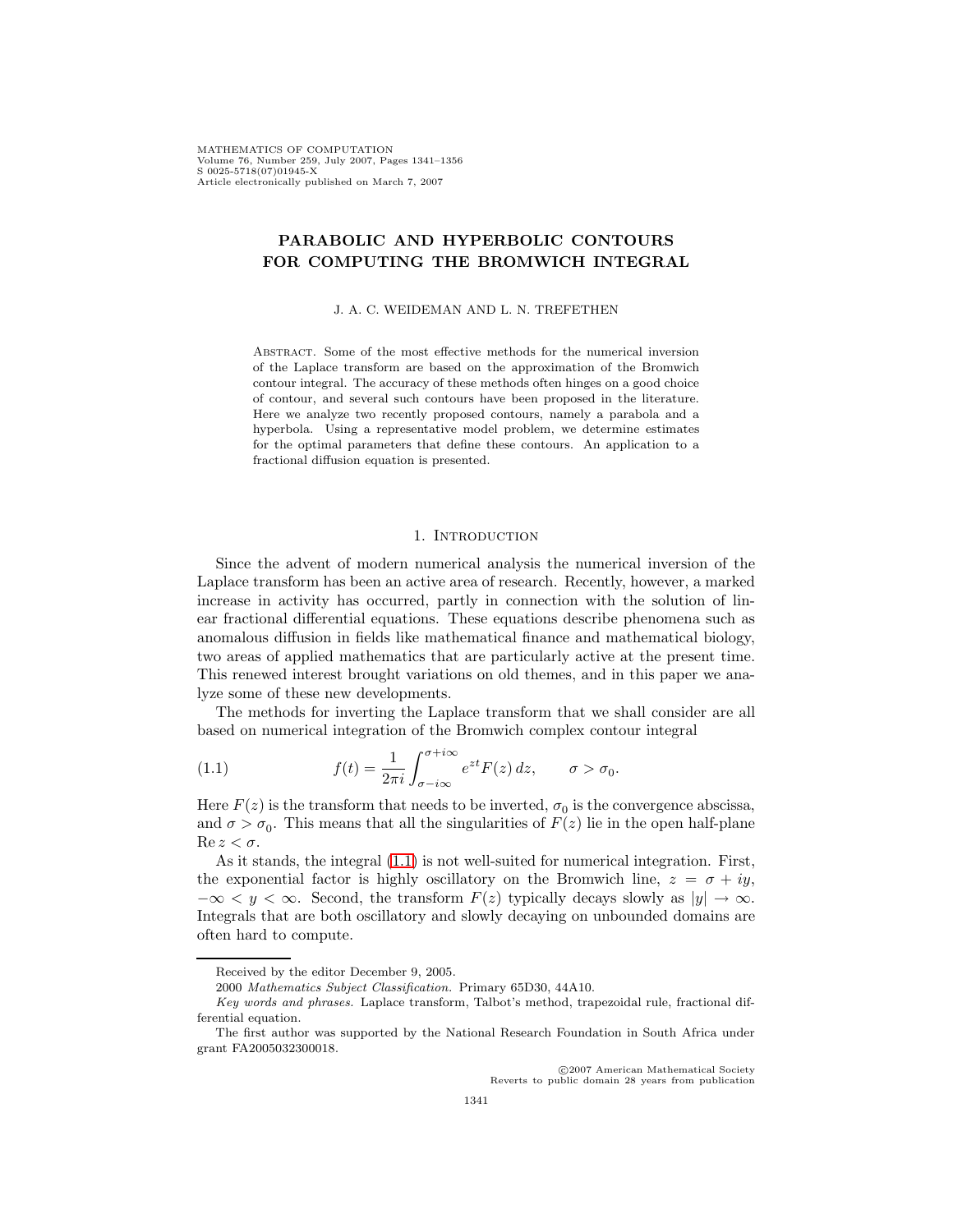MATHEMATICS OF COMPUTATION Volume 76, Number 259, July 2007, Pages 1341–1356 S 0025-5718(07)01945-X Article electronically published on March 7, 2007

# **PARABOLIC AND HYPERBOLIC CONTOURS FOR COMPUTING THE BROMWICH INTEGRAL**

#### J. A. C. WEIDEMAN AND L. N. TREFETHEN

Abstract. Some of the most effective methods for the numerical inversion of the Laplace transform are based on the approximation of the Bromwich contour integral. The accuracy of these methods often hinges on a good choice of contour, and several such contours have been proposed in the literature. Here we analyze two recently proposed contours, namely a parabola and a hyperbola. Using a representative model problem, we determine estimates for the optimal parameters that define these contours. An application to a fractional diffusion equation is presented.

#### <span id="page-0-0"></span>1. INTRODUCTION

Since the advent of modern numerical analysis the numerical inversion of the Laplace transform has been an active area of research. Recently, however, a marked increase in activity has occurred, partly in connection with the solution of linear fractional differential equations. These equations describe phenomena such as anomalous diffusion in fields like mathematical finance and mathematical biology, two areas of applied mathematics that are particularly active at the present time. This renewed interest brought variations on old themes, and in this paper we analyze some of these new developments.

The methods for inverting the Laplace transform that we shall consider are all based on numerical integration of the Bromwich complex contour integral

(1.1) 
$$
f(t) = \frac{1}{2\pi i} \int_{\sigma - i\infty}^{\sigma + i\infty} e^{zt} F(z) dz, \qquad \sigma > \sigma_0.
$$

Here  $F(z)$  is the transform that needs to be inverted,  $\sigma_0$  is the convergence abscissa, and  $\sigma > \sigma_0$ . This means that all the singularities of  $F(z)$  lie in the open half-plane  $\text{Re } z < \sigma$ .

As it stands, the integral [\(1.1\)](#page-0-0) is not well-suited for numerical integration. First, the exponential factor is highly oscillatory on the Bromwich line,  $z = \sigma + iy$ ,  $-\infty < y < \infty$ . Second, the transform  $F(z)$  typically decays slowly as  $|y| \to \infty$ . Integrals that are both oscillatory and slowly decaying on unbounded domains are often hard to compute.

c 2007 American Mathematical Society Reverts to public domain 28 years from publication

Received by the editor December 9, 2005.

<sup>2000</sup> Mathematics Subject Classification. Primary 65D30, 44A10.

Key words and phrases. Laplace transform, Talbot's method, trapezoidal rule, fractional differential equation.

The first author was supported by the National Research Foundation in South Africa under grant FA2005032300018.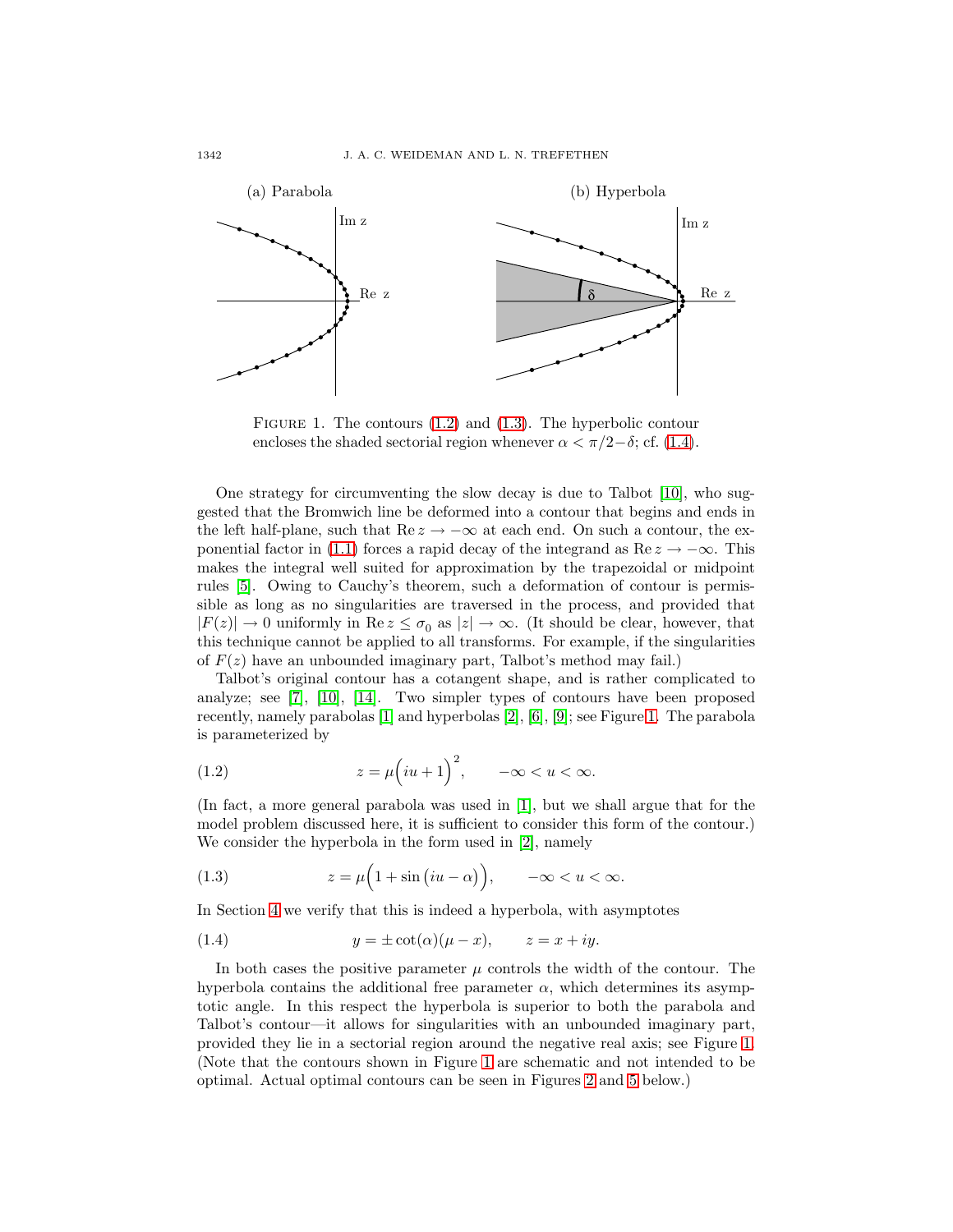

<span id="page-1-3"></span>FIGURE 1. The contours  $(1.2)$  and  $(1.3)$ . The hyperbolic contour encloses the shaded sectorial region whenever  $\alpha < \pi/2-\delta$ ; cf. [\(1.4\)](#page-1-2).

One strategy for circumventing the slow decay is due to Talbot [\[10\]](#page-15-0), who suggested that the Bromwich line be deformed into a contour that begins and ends in the left half-plane, such that Re  $z \to -\infty$  at each end. On such a contour, the ex-ponential factor in [\(1.1\)](#page-0-0) forces a rapid decay of the integrand as  $\text{Re } z \to -\infty$ . This makes the integral well suited for approximation by the trapezoidal or midpoint rules [\[5\]](#page-15-1). Owing to Cauchy's theorem, such a deformation of contour is permissible as long as no singularities are traversed in the process, and provided that  $|F(z)| \to 0$  uniformly in Re  $z \leq \sigma_0$  as  $|z| \to \infty$ . (It should be clear, however, that this technique cannot be applied to all transforms. For example, if the singularities of  $F(z)$  have an unbounded imaginary part, Talbot's method may fail.)

Talbot's original contour has a cotangent shape, and is rather complicated to analyze; see [\[7\]](#page-15-2), [\[10\]](#page-15-0), [\[14\]](#page-15-3). Two simpler types of contours have been proposed recently, namely parabolas [\[1\]](#page-15-4) and hyperbolas [\[2\]](#page-15-5), [\[6\]](#page-15-6), [\[9\]](#page-15-7); see Figure [1.](#page-1-3) The parabola is parameterized by

<span id="page-1-0"></span>(1.2) 
$$
z = \mu \left( iu + 1 \right)^2, \quad -\infty < u < \infty.
$$

(In fact, a more general parabola was used in [\[1\]](#page-15-4), but we shall argue that for the model problem discussed here, it is sufficient to consider this form of the contour.) We consider the hyperbola in the form used in [\[2\]](#page-15-5), namely

<span id="page-1-1"></span>(1.3) 
$$
z = \mu \left( 1 + \sin \left( i u - \alpha \right) \right), \quad -\infty < u < \infty.
$$

<span id="page-1-2"></span>In Section [4](#page-7-0) we verify that this is indeed a hyperbola, with asymptotes

(1.4) 
$$
y = \pm \cot(\alpha)(\mu - x), \qquad z = x + iy.
$$

In both cases the positive parameter  $\mu$  controls the width of the contour. The hyperbola contains the additional free parameter  $\alpha$ , which determines its asymptotic angle. In this respect the hyperbola is superior to both the parabola and Talbot's contour—it allows for singularities with an unbounded imaginary part, provided they lie in a sectorial region around the negative real axis; see Figure [1.](#page-1-3) (Note that the contours shown in Figure [1](#page-1-3) are schematic and not intended to be optimal. Actual optimal contours can be seen in Figures [2](#page-5-0) and [5](#page-8-0) below.)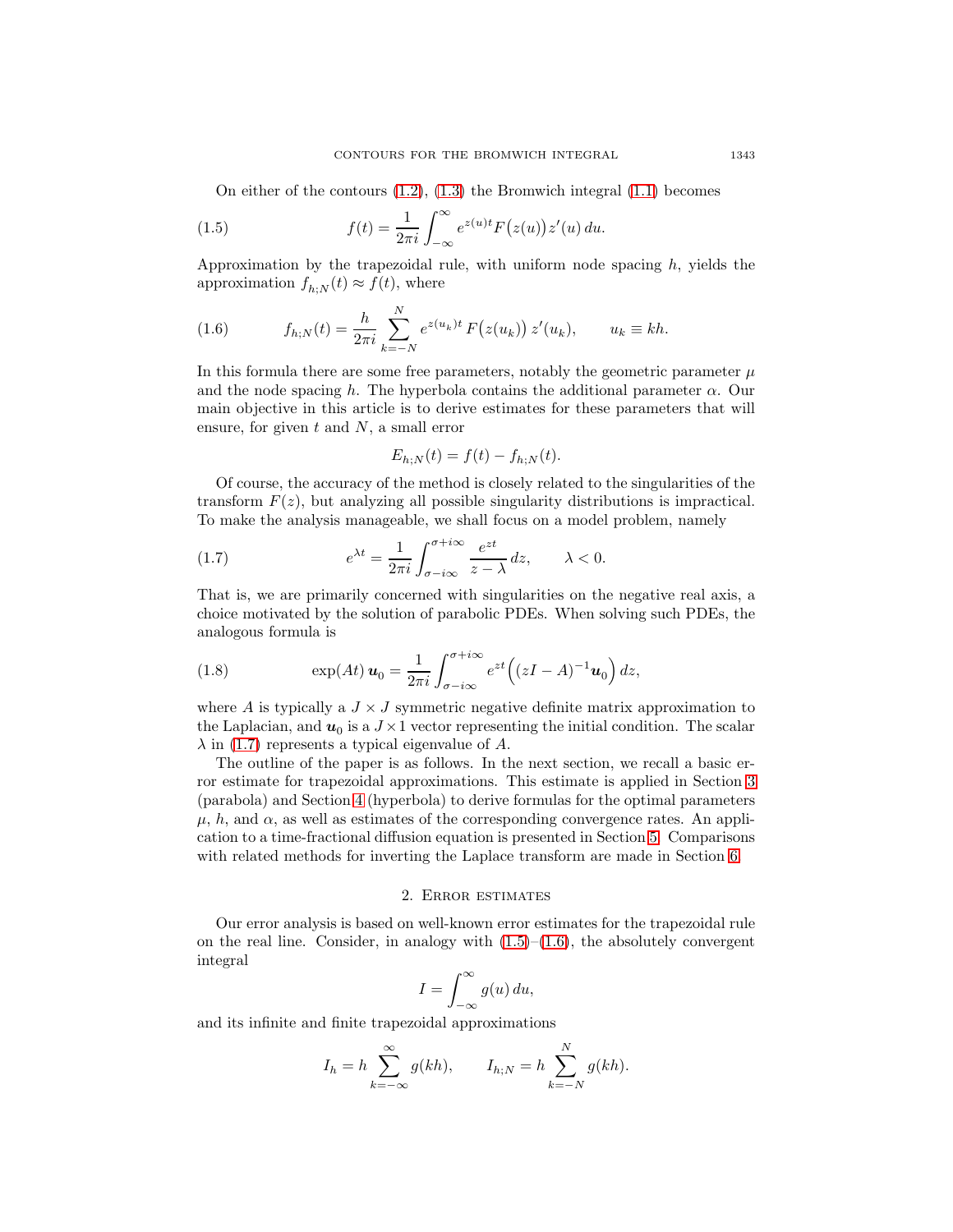On either of the contours  $(1.2)$ ,  $(1.3)$  the Bromwich integral  $(1.1)$  becomes

(1.5) 
$$
f(t) = \frac{1}{2\pi i} \int_{-\infty}^{\infty} e^{z(u)t} F(z(u)) z'(u) du.
$$

<span id="page-2-2"></span>Approximation by the trapezoidal rule, with uniform node spacing  $h$ , yields the approximation  $f_{h:N}(t) \approx f(t)$ , where

(1.6) 
$$
f_{h;N}(t) = \frac{h}{2\pi i} \sum_{k=-N}^{N} e^{z(u_k)t} F(z(u_k)) z'(u_k), \qquad u_k \equiv kh.
$$

In this formula there are some free parameters, notably the geometric parameter  $\mu$ and the node spacing h. The hyperbola contains the additional parameter  $\alpha$ . Our main objective in this article is to derive estimates for these parameters that will ensure, for given  $t$  and  $N$ , a small error

<span id="page-2-1"></span><span id="page-2-0"></span>
$$
E_{h;N}(t) = f(t) - f_{h;N}(t).
$$

Of course, the accuracy of the method is closely related to the singularities of the transform  $F(z)$ , but analyzing all possible singularity distributions is impractical. To make the analysis manageable, we shall focus on a model problem, namely

(1.7) 
$$
e^{\lambda t} = \frac{1}{2\pi i} \int_{\sigma - i\infty}^{\sigma + i\infty} \frac{e^{zt}}{z - \lambda} dz, \qquad \lambda < 0.
$$

That is, we are primarily concerned with singularities on the negative real axis, a choice motivated by the solution of parabolic PDEs. When solving such PDEs, the analogous formula is

<span id="page-2-4"></span>(1.8) 
$$
\exp(At) \mathbf{u}_0 = \frac{1}{2\pi i} \int_{\sigma - i\infty}^{\sigma + i\infty} e^{zt} \left( (zI - A)^{-1} \mathbf{u}_0 \right) dz,
$$

where A is typically a  $J \times J$  symmetric negative definite matrix approximation to the Laplacian, and  $u_0$  is a  $J \times 1$  vector representing the initial condition. The scalar  $\lambda$  in [\(1.7\)](#page-2-0) represents a typical eigenvalue of A.

The outline of the paper is as follows. In the next section, we recall a basic error estimate for trapezoidal approximations. This estimate is applied in Section [3](#page-3-0) (parabola) and Section [4](#page-7-0) (hyperbola) to derive formulas for the optimal parameters  $\mu$ , h, and  $\alpha$ , as well as estimates of the corresponding convergence rates. An application to a time-fractional diffusion equation is presented in Section [5.](#page-11-0) Comparisons with related methods for inverting the Laplace transform are made in Section [6.](#page-13-0)

### 2. Error estimates

<span id="page-2-3"></span>Our error analysis is based on well-known error estimates for the trapezoidal rule on the real line. Consider, in analogy with  $(1.5)$ – $(1.6)$ , the absolutely convergent integral

$$
I = \int_{-\infty}^{\infty} g(u) \, du,
$$

and its infinite and finite trapezoidal approximations

$$
I_h = h \sum_{k=-\infty}^{\infty} g(kh), \qquad I_{h;N} = h \sum_{k=-N}^{N} g(kh).
$$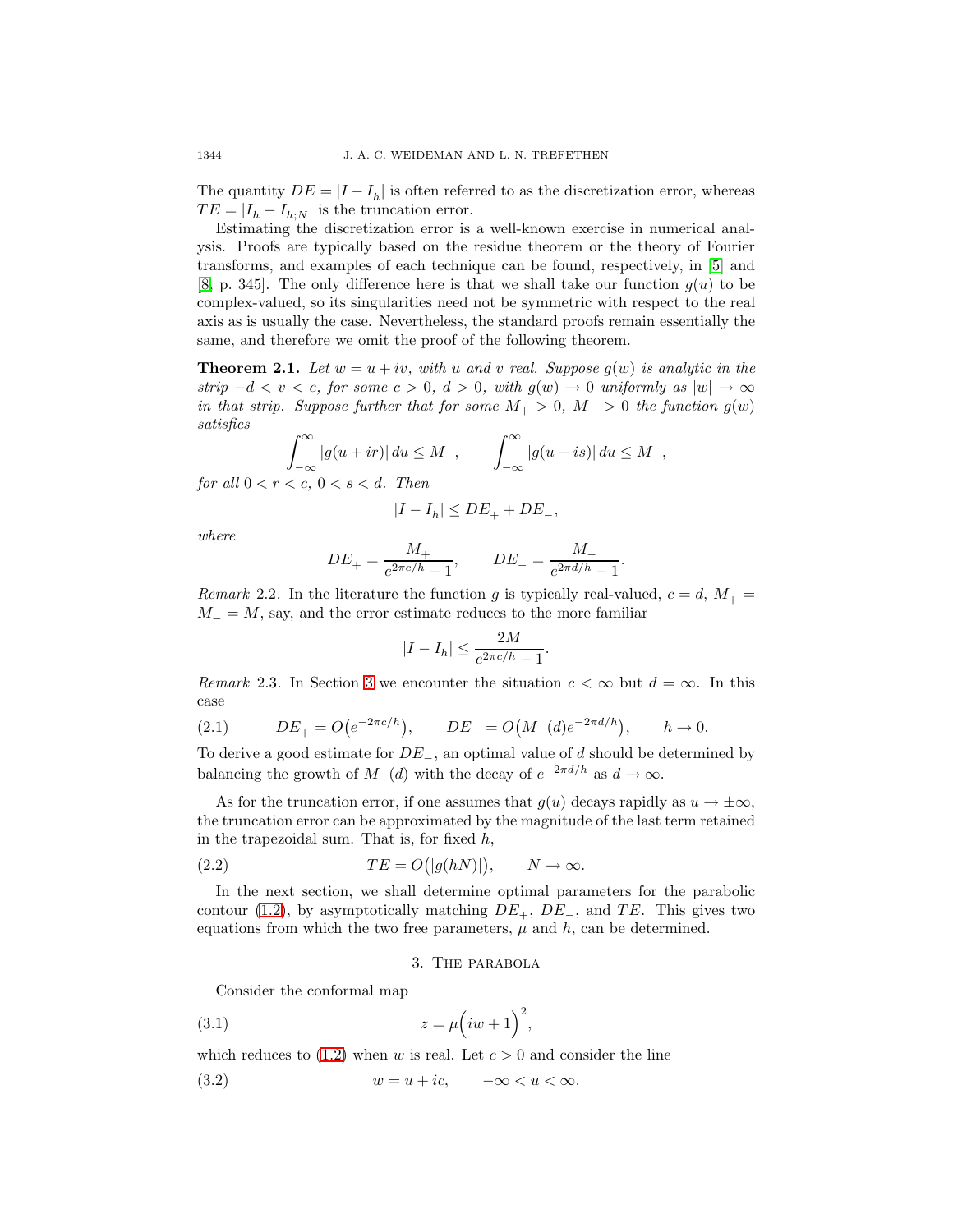The quantity  $DE = |I - I_h|$  is often referred to as the discretization error, whereas  $TE = |I_h - I_{h:N}|$  is the truncation error.

Estimating the discretization error is a well-known exercise in numerical analysis. Proofs are typically based on the residue theorem or the theory of Fourier transforms, and examples of each technique can be found, respectively, in [\[5\]](#page-15-1) and [\[8,](#page-15-8) p. 345]. The only difference here is that we shall take our function  $g(u)$  to be complex-valued, so its singularities need not be symmetric with respect to the real axis as is usually the case. Nevertheless, the standard proofs remain essentially the same, and therefore we omit the proof of the following theorem.

<span id="page-3-2"></span>**Theorem 2.1.** Let  $w = u + iv$ , with u and v real. Suppose  $g(w)$  is analytic in the strip  $-d < v < c$ , for some  $c > 0$ ,  $d > 0$ , with  $g(w) \to 0$  uniformly as  $|w| \to \infty$ in that strip. Suppose further that for some  $M_+ > 0$ ,  $M_- > 0$  the function  $g(w)$ satisfies

$$
\int_{-\infty}^{\infty} |g(u+ir)| du \le M_+, \qquad \int_{-\infty}^{\infty} |g(u-is)| du \le M_-,
$$
  
for all  $0 < r < c, 0 < s < d$ . Then

$$
|I - I_h| \le DE_+ + DE_-
$$

where

$$
DE_{+} = \frac{M_{+}}{e^{2\pi c/h} - 1}
$$
,  $DE_{-} = \frac{M_{-}}{e^{2\pi d/h} - 1}$ .

Remark 2.2. In the literature the function g is typically real-valued,  $c = d, M_{+} =$  $M = M$ , say, and the error estimate reduces to the more familiar

$$
|I - I_h| \le \frac{2M}{e^{2\pi c/h} - 1}.
$$

<span id="page-3-3"></span>Remark 2.3. In Section [3](#page-3-0) we encounter the situation  $c < \infty$  but  $d = \infty$ . In this case

(2.1) 
$$
DE_{+} = O(e^{-2\pi c/h}), \qquad DE_{-} = O(M_{-}(d)e^{-2\pi d/h}), \qquad h \to 0.
$$

To derive a good estimate for DE−, an optimal value of d should be determined by balancing the growth of  $M_-(d)$  with the decay of  $e^{-2\pi d/h}$  as  $d \to \infty$ .

As for the truncation error, if one assumes that  $g(u)$  decays rapidly as  $u \to \pm \infty$ , the truncation error can be approximated by the magnitude of the last term retained in the trapezoidal sum. That is, for fixed  $h$ ,

(2.2) 
$$
TE = O(|g(hN)|), \qquad N \to \infty.
$$

<span id="page-3-0"></span>In the next section, we shall determine optimal parameters for the parabolic contour [\(1.2\)](#page-1-0), by asymptotically matching  $DE_+$ ,  $DE_-$ , and TE. This gives two equations from which the two free parameters,  $\mu$  and  $h$ , can be determined.

### <span id="page-3-4"></span>3. The parabola

<span id="page-3-1"></span>Consider the conformal map

$$
(3.1) \t\t\t z = \mu \left( iw + 1\right)^2,
$$

which reduces to  $(1.2)$  when w is real. Let  $c > 0$  and consider the line

$$
(3.2) \t\t w = u + ic, \t -\infty < u < \infty.
$$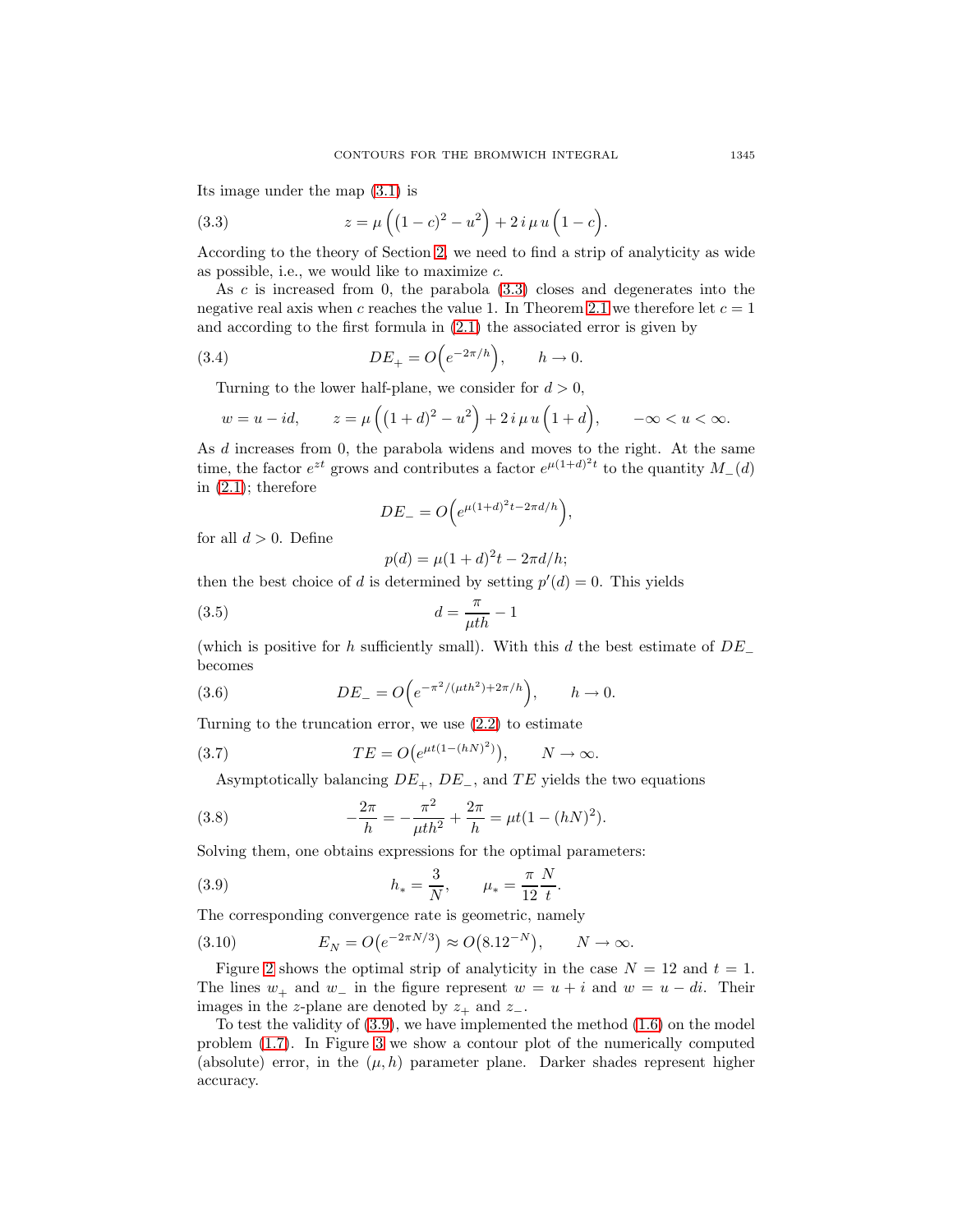<span id="page-4-0"></span>Its image under the map [\(3.1\)](#page-3-1) is

(3.3) 
$$
z = \mu \left( (1 - c)^2 - u^2 \right) + 2 i \mu u \left( 1 - c \right).
$$

According to the theory of Section [2,](#page-2-3) we need to find a strip of analyticity as wide as possible, i.e., we would like to maximize  $c$ .

As  $c$  is increased from 0, the parabola  $(3.3)$  closes and degenerates into the negative real axis when c reaches the value 1. In Theorem [2.1](#page-3-2) we therefore let  $c = 1$ and according to the first formula in [\(2.1\)](#page-3-3) the associated error is given by

(3.4) 
$$
DE_+ = O\Big(e^{-2\pi/h}\Big), \qquad h \to 0.
$$

Turning to the lower half-plane, we consider for  $d > 0$ ,

$$
w = u - id
$$
,  $z = \mu((1+d)^2 - u^2) + 2i \mu u(1+d)$ ,  $-\infty < u < \infty$ .

As d increases from 0, the parabola widens and moves to the right. At the same time, the factor  $e^{zt}$  grows and contributes a factor  $e^{\mu(1+d)^2t}$  to the quantity  $M_-(d)$ in  $(2.1)$ ; therefore

<span id="page-4-2"></span>
$$
DE_{-}=O\Big(e^{\mu(1+d)^2t-2\pi d/h}\Big),\,
$$

for all  $d > 0$ . Define

<span id="page-4-5"></span><span id="page-4-4"></span><span id="page-4-1"></span>
$$
p(d) = \mu(1+d)^{2}t - 2\pi d/h;
$$

then the best choice of d is determined by setting  $p'(d) = 0$ . This yields

$$
(3.5) \t\t d = \frac{\pi}{\mu th} - 1
$$

<span id="page-4-3"></span>(which is positive for h sufficiently small). With this d the best estimate of  $DE_$ becomes

(3.6) 
$$
DE_{-} = O\Big(e^{-\pi^2/(\mu th^2) + 2\pi/h}\Big), \qquad h \to 0.
$$

Turning to the truncation error, we use [\(2.2\)](#page-3-4) to estimate

(3.7) 
$$
TE = O(e^{\mu t(1-(hN)^2)}), \qquad N \to \infty.
$$

Asymptotically balancing  $DE_+$ ,  $DE_-$ , and  $TE$  yields the two equations

(3.8) 
$$
-\frac{2\pi}{h} = -\frac{\pi^2}{\mu th^2} + \frac{2\pi}{h} = \mu t (1 - (hN)^2).
$$

Solving them, one obtains expressions for the optimal parameters:

(3.9) 
$$
h_* = \frac{3}{N}, \qquad \mu_* = \frac{\pi}{12} \frac{N}{t}.
$$

The corresponding convergence rate is geometric, namely

<span id="page-4-6"></span>(3.10) 
$$
E_N = O(e^{-2\pi N/3}) \approx O(8.12^{-N}), \qquad N \to \infty.
$$

Figure [2](#page-5-0) shows the optimal strip of analyticity in the case  $N = 12$  and  $t = 1$ . The lines  $w_+$  and  $w_-$  in the figure represent  $w = u + i$  and  $w = u - di$ . Their images in the z-plane are denoted by  $z_+$  and  $z_-$ .

To test the validity of  $(3.9)$ , we have implemented the method  $(1.6)$  on the model problem [\(1.7\)](#page-2-0). In Figure [3](#page-5-1) we show a contour plot of the numerically computed (absolute) error, in the  $(\mu, h)$  parameter plane. Darker shades represent higher accuracy.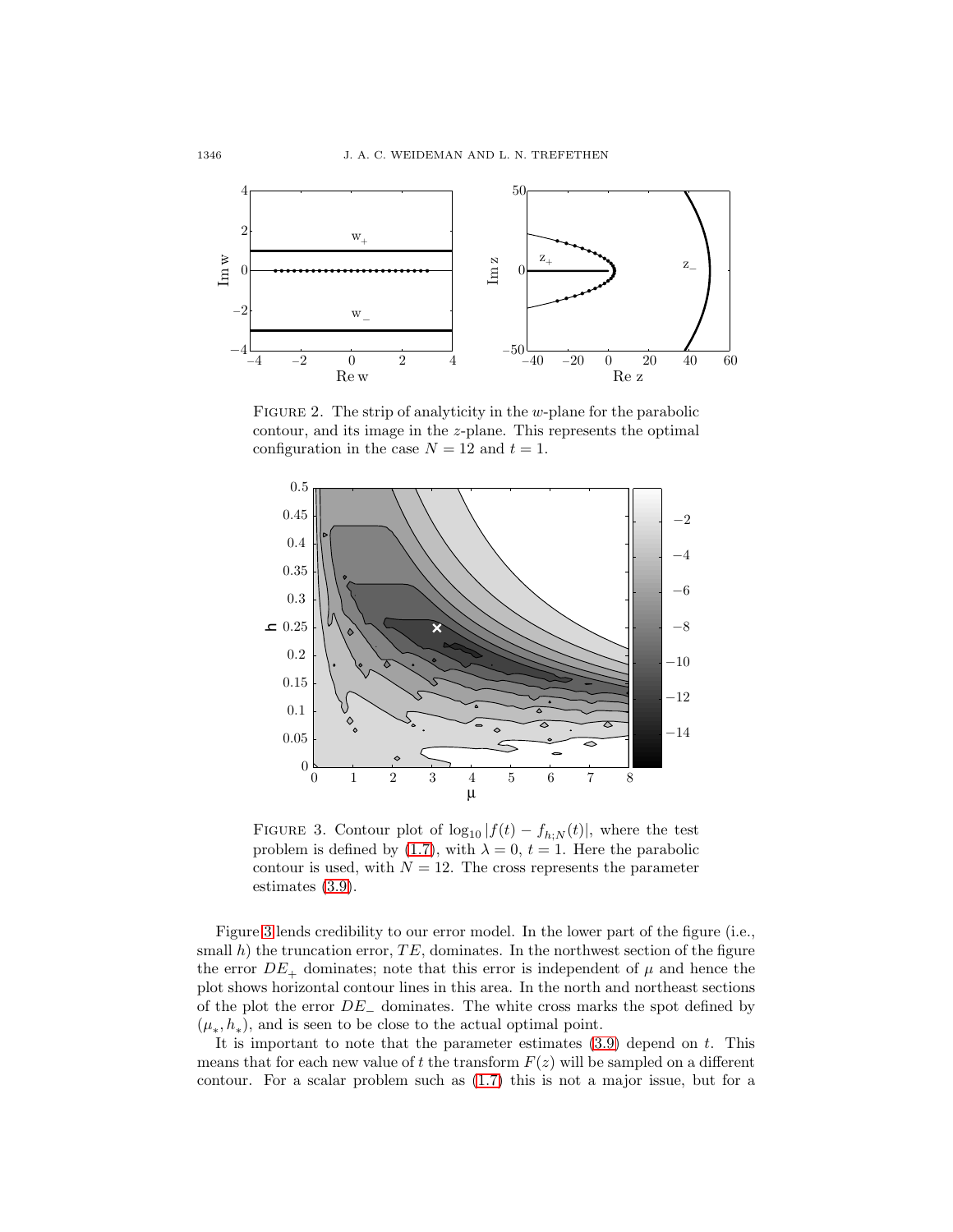

<span id="page-5-0"></span>FIGURE 2. The strip of analyticity in the  $w$ -plane for the parabolic contour, and its image in the z-plane. This represents the optimal configuration in the case  $N = 12$  and  $t = 1$ .



<span id="page-5-1"></span>FIGURE 3. Contour plot of  $\log_{10}|f(t) - f_{h:N}(t)|$ , where the test problem is defined by [\(1.7\)](#page-2-0), with  $\lambda = 0$ ,  $t = 1$ . Here the parabolic contour is used, with  $N = 12$ . The cross represents the parameter estimates [\(3.9\)](#page-4-1).

Figure [3](#page-5-1) lends credibility to our error model. In the lower part of the figure (i.e., small h) the truncation error,  $TE$ , dominates. In the northwest section of the figure the error  $DE_+$  dominates; note that this error is independent of  $\mu$  and hence the plot shows horizontal contour lines in this area. In the north and northeast sections of the plot the error  $DE_$  dominates. The white cross marks the spot defined by  $(\mu_*, h_*)$ , and is seen to be close to the actual optimal point.

It is important to note that the parameter estimates  $(3.9)$  depend on t. This means that for each new value of t the transform  $F(z)$  will be sampled on a different contour. For a scalar problem such as [\(1.7\)](#page-2-0) this is not a major issue, but for a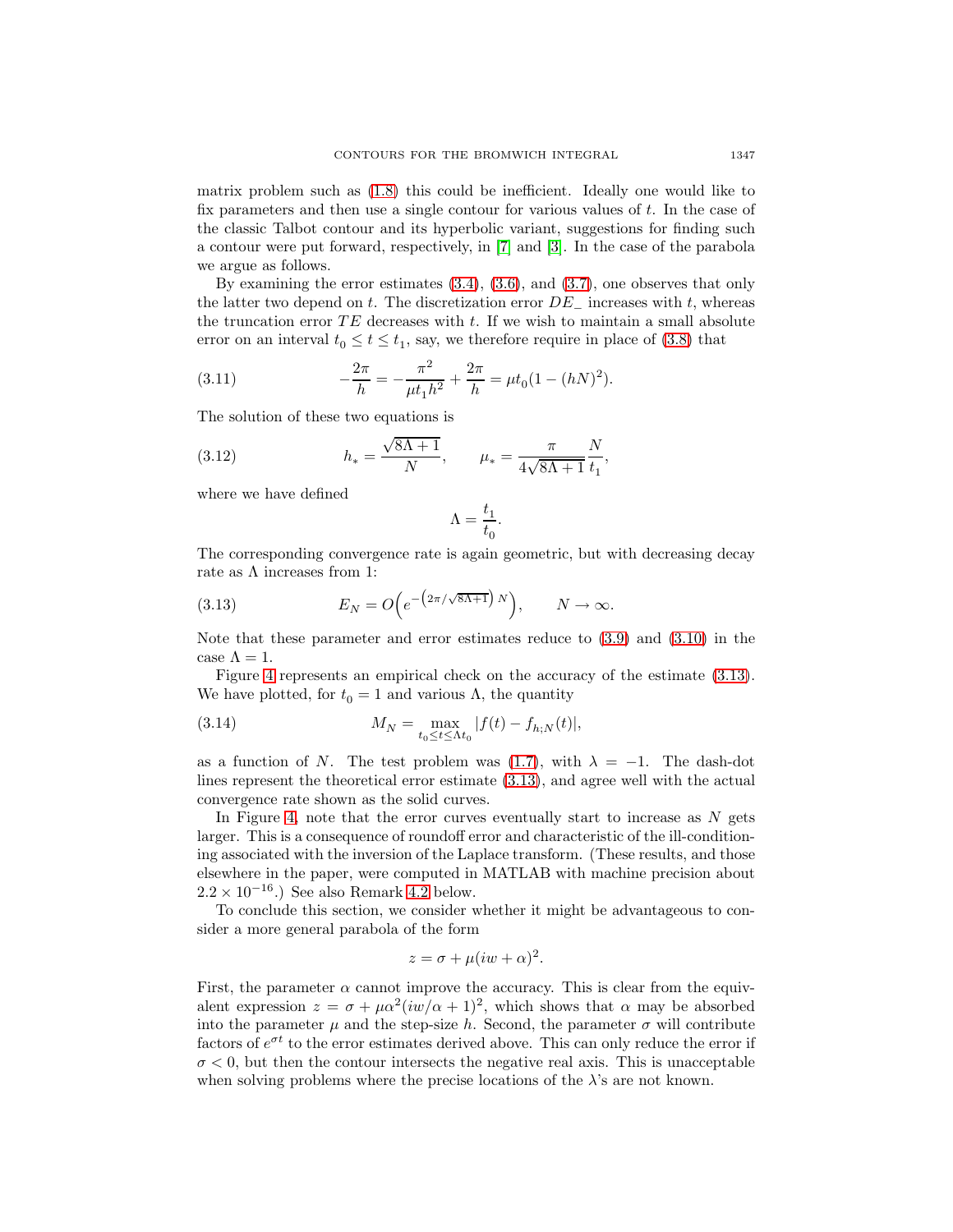matrix problem such as [\(1.8\)](#page-2-4) this could be inefficient. Ideally one would like to fix parameters and then use a single contour for various values of  $t$ . In the case of the classic Talbot contour and its hyperbolic variant, suggestions for finding such a contour were put forward, respectively, in [\[7\]](#page-15-2) and [\[3\]](#page-15-9). In the case of the parabola we argue as follows.

By examining the error estimates [\(3.4\)](#page-4-2), [\(3.6\)](#page-4-3), and [\(3.7\)](#page-4-4), one observes that only the latter two depend on t. The discretization error  $DE_$  increases with t, whereas the truncation error  $TE$  decreases with t. If we wish to maintain a small absolute error on an interval  $t_0 \le t \le t_1$ , say, we therefore require in place of [\(3.8\)](#page-4-5) that

(3.11) 
$$
-\frac{2\pi}{h} = -\frac{\pi^2}{\mu t_1 h^2} + \frac{2\pi}{h} = \mu t_0 (1 - (hN)^2).
$$

The solution of these two equations is

(3.12) 
$$
h_* = \frac{\sqrt{8\Lambda + 1}}{N}, \qquad \mu_* = \frac{\pi}{4\sqrt{8\Lambda + 1}} \frac{N}{t_1},
$$

where we have defined

<span id="page-6-3"></span><span id="page-6-2"></span><span id="page-6-1"></span>
$$
\Lambda=\frac{t_1}{t_0}.
$$

<span id="page-6-0"></span>The corresponding convergence rate is again geometric, but with decreasing decay rate as  $\Lambda$  increases from 1:

(3.13) 
$$
E_N = O\Big(e^{-\big(2\pi/\sqrt{8\Lambda+1}\big)N}\Big), \qquad N \to \infty.
$$

Note that these parameter and error estimates reduce to [\(3.9\)](#page-4-1) and [\(3.10\)](#page-4-6) in the case  $\Lambda = 1$ .

Figure [4](#page-7-1) represents an empirical check on the accuracy of the estimate [\(3.13\)](#page-6-0). We have plotted, for  $t_0 = 1$  and various Λ, the quantity

(3.14) 
$$
M_N = \max_{t_0 \le t \le \Lambda t_0} |f(t) - f_{h,N}(t)|,
$$

as a function of N. The test problem was [\(1.7\)](#page-2-0), with  $\lambda = -1$ . The dash-dot lines represent the theoretical error estimate [\(3.13\)](#page-6-0), and agree well with the actual convergence rate shown as the solid curves.

In Figure [4,](#page-7-1) note that the error curves eventually start to increase as  $N$  gets larger. This is a consequence of roundoff error and characteristic of the ill-conditioning associated with the inversion of the Laplace transform. (These results, and those elsewhere in the paper, were computed in MATLAB with machine precision about  $2.2 \times 10^{-16}$ .) See also Remark [4.2](#page-11-1) below.

To conclude this section, we consider whether it might be advantageous to consider a more general parabola of the form

$$
z = \sigma + \mu(iw + \alpha)^2.
$$

First, the parameter  $\alpha$  cannot improve the accuracy. This is clear from the equivalent expression  $z = \sigma + \mu \alpha^2(iw/\alpha + 1)^2$ , which shows that  $\alpha$  may be absorbed into the parameter  $\mu$  and the step-size h. Second, the parameter  $\sigma$  will contribute factors of  $e^{\sigma t}$  to the error estimates derived above. This can only reduce the error if  $\sigma$  < 0, but then the contour intersects the negative real axis. This is unacceptable when solving problems where the precise locations of the  $\lambda$ 's are not known.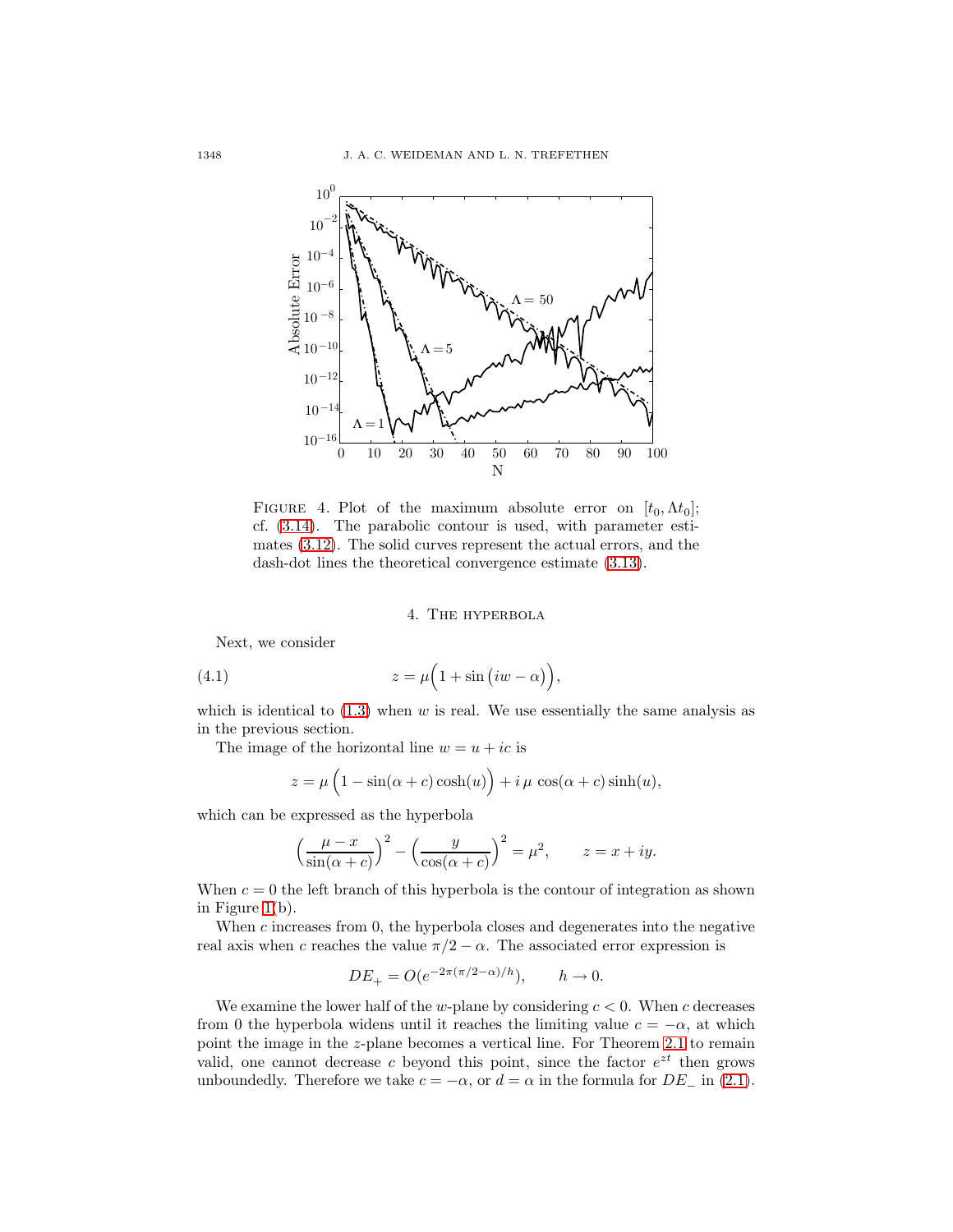

<span id="page-7-1"></span>FIGURE 4. Plot of the maximum absolute error on  $[t_0, \Lambda t_0]$ ; cf. [\(3.14\)](#page-6-1). The parabolic contour is used, with parameter estimates [\(3.12\)](#page-6-2). The solid curves represent the actual errors, and the dash-dot lines the theoretical convergence estimate [\(3.13\)](#page-6-0).

## 4. The hyperbola

Next, we consider

<span id="page-7-0"></span>(4.1) 
$$
z = \mu \left( 1 + \sin (iw - \alpha) \right),
$$

which is identical to  $(1.3)$  when w is real. We use essentially the same analysis as in the previous section.

The image of the horizontal line  $w = u + ic$  is

$$
z = \mu \left( 1 - \sin(\alpha + c) \cosh(u) \right) + i \mu \cos(\alpha + c) \sinh(u),
$$

which can be expressed as the hyperbola

$$
\left(\frac{\mu-x}{\sin(\alpha+c)}\right)^2 - \left(\frac{y}{\cos(\alpha+c)}\right)^2 = \mu^2, \qquad z = x+iy.
$$

When  $c = 0$  the left branch of this hyperbola is the contour of integration as shown in Figure [1\(](#page-1-3)b).

When  $c$  increases from 0, the hyperbola closes and degenerates into the negative real axis when c reaches the value  $\pi/2 - \alpha$ . The associated error expression is

$$
DE_+ = O(e^{-2\pi(\pi/2 - \alpha)/h}), \qquad h \to 0.
$$

We examine the lower half of the w-plane by considering  $c < 0$ . When c decreases from 0 the hyperbola widens until it reaches the limiting value  $c = -\alpha$ , at which point the image in the z-plane becomes a vertical line. For Theorem [2.1](#page-3-2) to remain valid, one cannot decrease c beyond this point, since the factor  $e^{zt}$  then grows unboundedly. Therefore we take  $c = -\alpha$ , or  $d = \alpha$  in the formula for  $DE_{-}$  in [\(2.1\)](#page-3-3).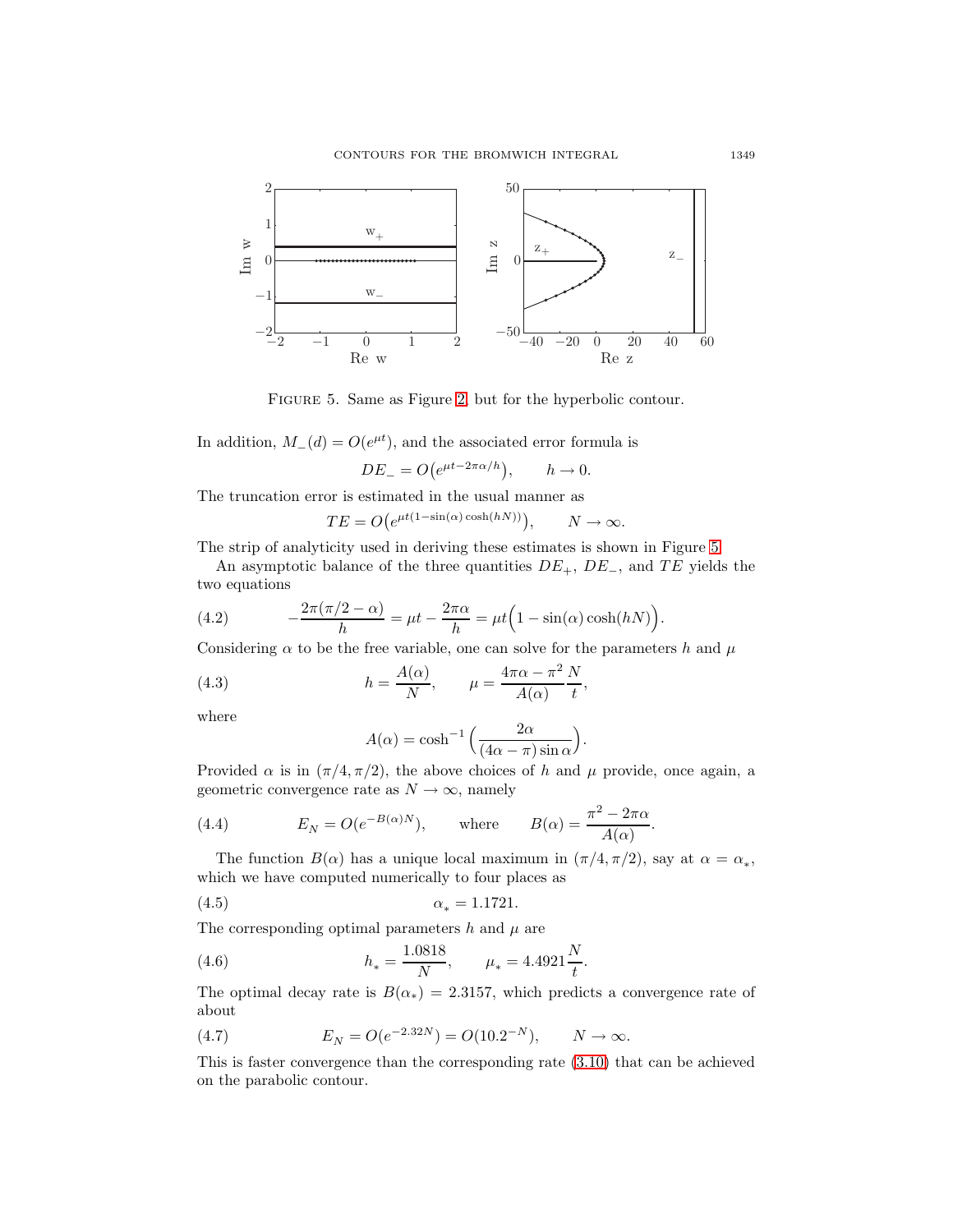

<span id="page-8-0"></span>Figure 5. Same as Figure [2,](#page-5-0) but for the hyperbolic contour.

In addition,  $M_-(d) = O(e^{\mu t})$ , and the associated error formula is

$$
DE_{-} = O(e^{\mu t - 2\pi \alpha/h}), \qquad h \to 0.
$$

The truncation error is estimated in the usual manner as

$$
TE = O(e^{\mu t(1-\sin(\alpha)\cosh(hN))}), \qquad N \to \infty.
$$

The strip of analyticity used in deriving these estimates is shown in Figure [5.](#page-8-0)

<span id="page-8-2"></span>An asymptotic balance of the three quantities  $DE_+$ ,  $DE_-$ , and  $TE$  yields the two equations

(4.2) 
$$
-\frac{2\pi(\pi/2-\alpha)}{h} = \mu t - \frac{2\pi\alpha}{h} = \mu t \left(1 - \sin(\alpha)\cosh(hN)\right).
$$

Considering  $\alpha$  to be the free variable, one can solve for the parameters h and  $\mu$ 

(4.3) 
$$
h = \frac{A(\alpha)}{N}, \qquad \mu = \frac{4\pi\alpha - \pi^2}{A(\alpha)} \frac{N}{t},
$$

where

<span id="page-8-3"></span><span id="page-8-1"></span>
$$
A(\alpha) = \cosh^{-1}\left(\frac{2\alpha}{(4\alpha - \pi)\sin \alpha}\right).
$$

Provided  $\alpha$  is in  $(\pi/4, \pi/2)$ , the above choices of h and  $\mu$  provide, once again, a geometric convergence rate as  $N \to \infty$ , namely

(4.4) 
$$
E_N = O(e^{-B(\alpha)N}), \quad \text{where} \quad B(\alpha) = \frac{\pi^2 - 2\pi\alpha}{A(\alpha)}.
$$

The function  $B(\alpha)$  has a unique local maximum in  $(\pi/4, \pi/2)$ , say at  $\alpha = \alpha_*,$ which we have computed numerically to four places as

(4.5) 
$$
\alpha_* = 1.1721.
$$

The corresponding optimal parameters  $h$  and  $\mu$  are

(4.6) 
$$
h_* = \frac{1.0818}{N}, \qquad \mu_* = 4.4921 \frac{N}{t}.
$$

The optimal decay rate is  $B(\alpha_*)=2.3157$ , which predicts a convergence rate of about

(4.7) 
$$
E_N = O(e^{-2.32N}) = O(10.2^{-N}), \qquad N \to \infty.
$$

This is faster convergence than the corresponding rate [\(3.10\)](#page-4-6) that can be achieved on the parabolic contour.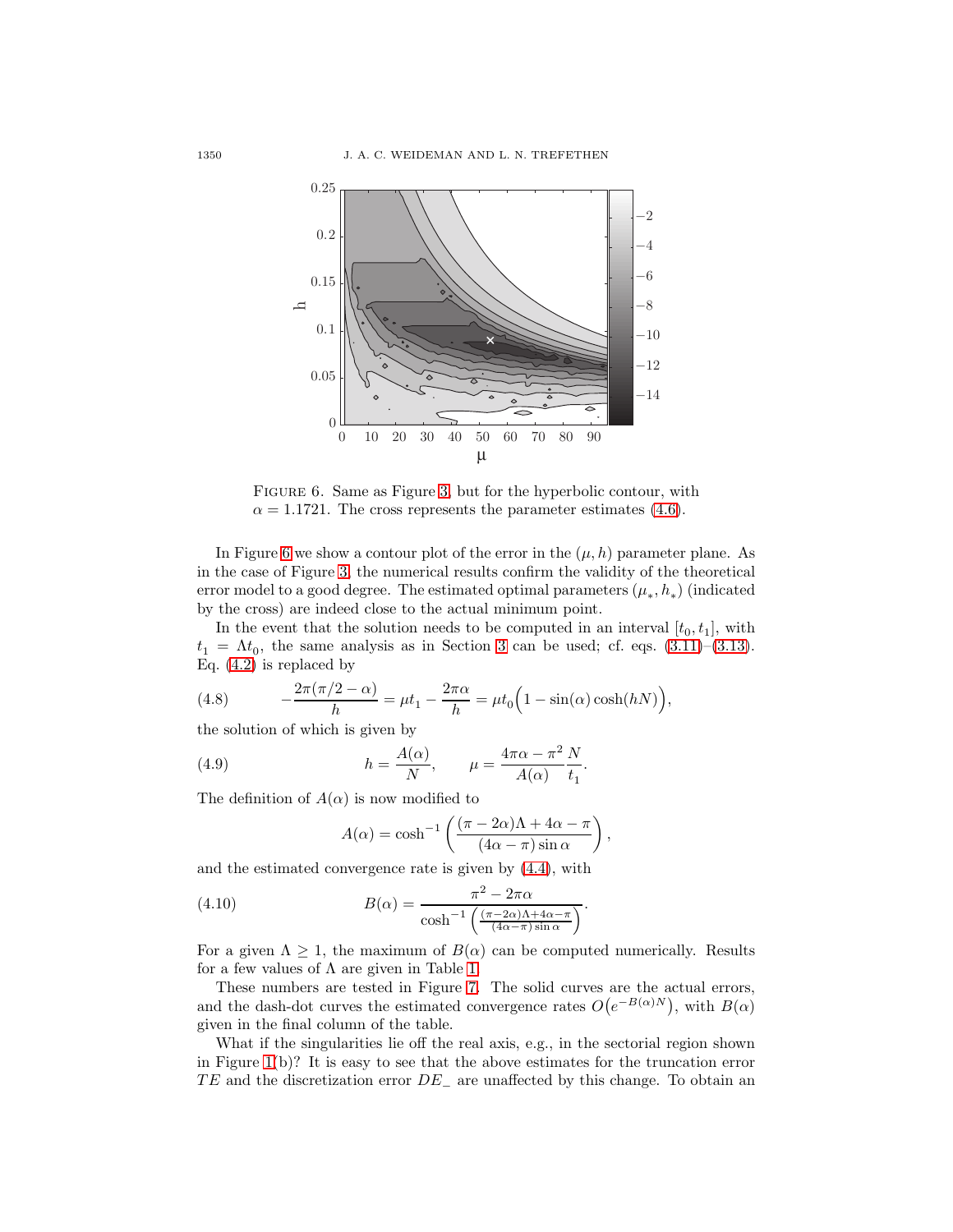

<span id="page-9-0"></span>Figure 6. Same as Figure [3,](#page-5-1) but for the hyperbolic contour, with  $\alpha = 1.1721$ . The cross represents the parameter estimates [\(4.6\)](#page-8-1).

In Figure [6](#page-9-0) we show a contour plot of the error in the  $(\mu, h)$  parameter plane. As in the case of Figure [3,](#page-5-1) the numerical results confirm the validity of the theoretical error model to a good degree. The estimated optimal parameters  $(\mu_*, h_*)$  (indicated by the cross) are indeed close to the actual minimum point.

In the event that the solution needs to be computed in an interval  $[t_0, t_1]$ , with  $t_1 = \Lambda t_0$ , the same analysis as in Section [3](#page-3-0) can be used; cf. eqs. [\(3.11\)](#page-6-3)–[\(3.13\)](#page-6-0). Eq. [\(4.2\)](#page-8-2) is replaced by

<span id="page-9-1"></span>(4.8) 
$$
-\frac{2\pi(\pi/2-\alpha)}{h} = \mu t_1 - \frac{2\pi\alpha}{h} = \mu t_0 \left(1 - \sin(\alpha)\cosh(hN)\right),
$$

the solution of which is given by

(4.9) 
$$
h = \frac{A(\alpha)}{N}, \qquad \mu = \frac{4\pi\alpha - \pi^2}{A(\alpha)}\frac{N}{t_1}.
$$

The definition of  $A(\alpha)$  is now modified to

<span id="page-9-2"></span>
$$
A(\alpha) = \cosh^{-1}\left(\frac{(\pi - 2\alpha)\Lambda + 4\alpha - \pi}{(4\alpha - \pi)\sin \alpha}\right),\,
$$

and the estimated convergence rate is given by [\(4.4\)](#page-8-3), with

(4.10) 
$$
B(\alpha) = \frac{\pi^2 - 2\pi\alpha}{\cosh^{-1}\left(\frac{(\pi - 2\alpha)\Lambda + 4\alpha - \pi}{(4\alpha - \pi)\sin\alpha}\right)}.
$$

For a given  $\Lambda \geq 1$ , the maximum of  $B(\alpha)$  can be computed numerically. Results for a few values of  $\Lambda$  are given in Table [1.](#page-10-0)

These numbers are tested in Figure [7.](#page-10-1) The solid curves are the actual errors, and the dash-dot curves the estimated convergence rates  $O(e^{-B(\alpha)N})$ , with  $B(\alpha)$ given in the final column of the table.

What if the singularities lie off the real axis, e.g., in the sectorial region shown in Figure [1\(](#page-1-3)b)? It is easy to see that the above estimates for the truncation error  $TE$  and the discretization error  $DE_$  are unaffected by this change. To obtain an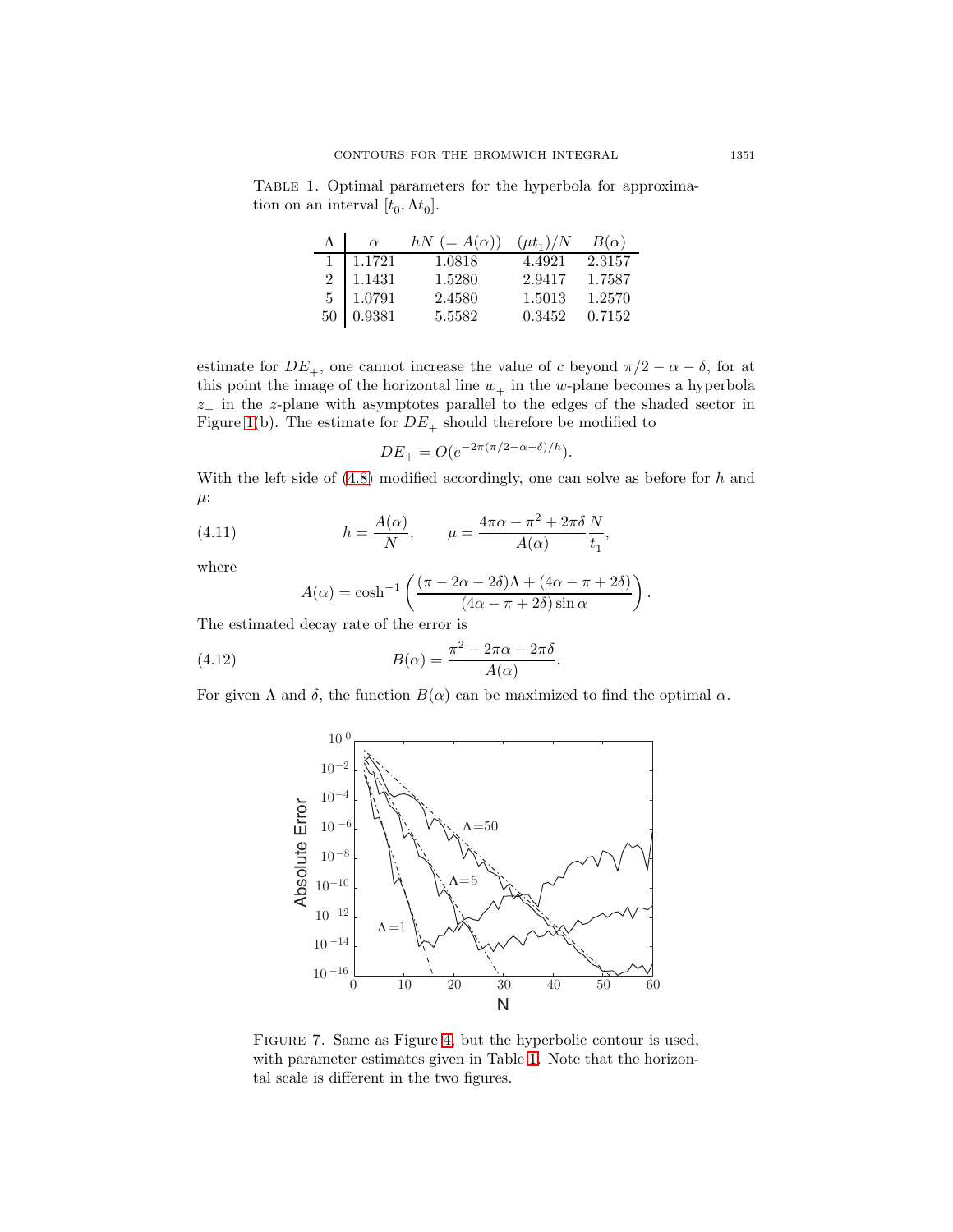<span id="page-10-0"></span>Table 1. Optimal parameters for the hyperbola for approximation on an interval  $[t_0, \Lambda t_0]$ .

| $\alpha$         | $hN (= A(\alpha))$ | $(\mu t_1)/N$ | $B(\alpha)$ |
|------------------|--------------------|---------------|-------------|
| $1 \quad 1.1721$ | 1.0818             | 4.4921        | 2.3157      |
| $2\quad 1.1431$  | 1.5280             | 2.9417        | 1.7587      |
| $5 \mid 1.0791$  | 2.4580             | 1.5013        | 1.2570      |
| $50\,$ 0.9381    | 5.5582             | 0.3452        | 0.7152      |

estimate for  $DE_+$ , one cannot increase the value of c beyond  $\pi/2 - \alpha - \delta$ , for at this point the image of the horizontal line  $w_+$  in the w-plane becomes a hyperbola  $z_{+}$  in the z-plane with asymptotes parallel to the edges of the shaded sector in Figure [1\(](#page-1-3)b). The estimate for  $DE_+$  should therefore be modified to

$$
DE_{+} = O(e^{-2\pi(\pi/2 - \alpha - \delta)/h}).
$$

<span id="page-10-2"></span>With the left side of  $(4.8)$  modified accordingly, one can solve as before for  $h$  and  $\mu$ :

(4.11) 
$$
h = \frac{A(\alpha)}{N}, \qquad \mu = \frac{4\pi\alpha - \pi^2 + 2\pi\delta}{A(\alpha)}\frac{N}{t_1},
$$

where

<span id="page-10-3"></span>
$$
A(\alpha) = \cosh^{-1}\left(\frac{(\pi - 2\alpha - 2\delta)\Lambda + (4\alpha - \pi + 2\delta)}{(4\alpha - \pi + 2\delta)\sin\alpha}\right).
$$

The estimated decay rate of the error is

(4.12) 
$$
B(\alpha) = \frac{\pi^2 - 2\pi\alpha - 2\pi\delta}{A(\alpha)}.
$$

For given  $\Lambda$  and  $\delta$ , the function  $B(\alpha)$  can be maximized to find the optimal  $\alpha$ .



<span id="page-10-1"></span>Figure 7. Same as Figure [4,](#page-7-1) but the hyperbolic contour is used, with parameter estimates given in Table [1.](#page-10-0) Note that the horizontal scale is different in the two figures.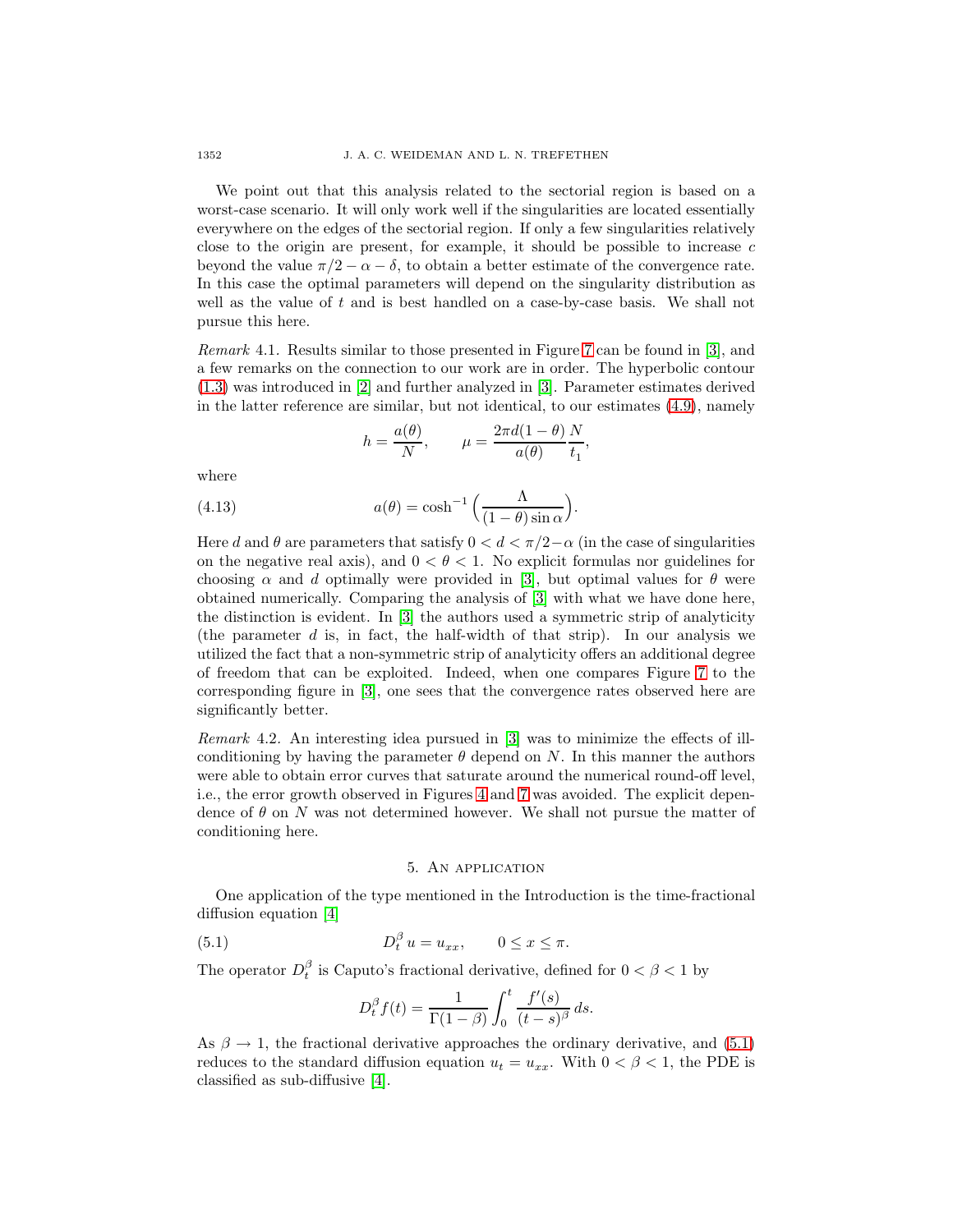We point out that this analysis related to the sectorial region is based on a worst-case scenario. It will only work well if the singularities are located essentially everywhere on the edges of the sectorial region. If only a few singularities relatively close to the origin are present, for example, it should be possible to increase  $c$ beyond the value  $\pi/2 - \alpha - \delta$ , to obtain a better estimate of the convergence rate. In this case the optimal parameters will depend on the singularity distribution as well as the value of  $t$  and is best handled on a case-by-case basis. We shall not pursue this here.

Remark 4.1. Results similar to those presented in Figure [7](#page-10-1) can be found in [\[3\]](#page-15-9), and a few remarks on the connection to our work are in order. The hyperbolic contour [\(1.3\)](#page-1-1) was introduced in [\[2\]](#page-15-5) and further analyzed in [\[3\]](#page-15-9). Parameter estimates derived in the latter reference are similar, but not identical, to our estimates [\(4.9\)](#page-9-2), namely

$$
h = \frac{a(\theta)}{N}, \qquad \mu = \frac{2\pi d(1-\theta)}{a(\theta)} \frac{N}{t_1},
$$

where

(4.13) 
$$
a(\theta) = \cosh^{-1}\left(\frac{\Lambda}{(1-\theta)\sin\alpha}\right).
$$

Here d and  $\theta$  are parameters that satisfy  $0 < d < \pi/2-\alpha$  (in the case of singularities on the negative real axis), and  $0 < \theta < 1$ . No explicit formulas nor guidelines for choosing  $\alpha$  and d optimally were provided in [\[3\]](#page-15-9), but optimal values for  $\theta$  were obtained numerically. Comparing the analysis of [\[3\]](#page-15-9) with what we have done here, the distinction is evident. In [\[3\]](#page-15-9) the authors used a symmetric strip of analyticity (the parameter  $d$  is, in fact, the half-width of that strip). In our analysis we utilized the fact that a non-symmetric strip of analyticity offers an additional degree of freedom that can be exploited. Indeed, when one compares Figure [7](#page-10-1) to the corresponding figure in [\[3\]](#page-15-9), one sees that the convergence rates observed here are significantly better.

<span id="page-11-1"></span>Remark 4.2. An interesting idea pursued in [\[3\]](#page-15-9) was to minimize the effects of illconditioning by having the parameter  $\theta$  depend on N. In this manner the authors were able to obtain error curves that saturate around the numerical round-off level, i.e., the error growth observed in Figures [4](#page-7-1) and [7](#page-10-1) was avoided. The explicit dependence of  $\theta$  on N was not determined however. We shall not pursue the matter of conditioning here.

### 5. An application

<span id="page-11-2"></span><span id="page-11-0"></span>One application of the type mentioned in the Introduction is the time-fractional diffusion equation [\[4\]](#page-15-10)

(5.1) 
$$
D_t^{\beta} u = u_{xx}, \qquad 0 \le x \le \pi.
$$

The operator  $D_t^{\beta}$  is Caputo's fractional derivative, defined for  $0 < \beta < 1$  by

$$
D_t^{\beta} f(t) = \frac{1}{\Gamma(1-\beta)} \int_0^t \frac{f'(s)}{(t-s)^{\beta}} ds.
$$

As  $\beta \rightarrow 1$ , the fractional derivative approaches the ordinary derivative, and [\(5.1\)](#page-11-2) reduces to the standard diffusion equation  $u_t = u_{xx}$ . With  $0 < \beta < 1$ , the PDE is classified as sub-diffusive [\[4\]](#page-15-10).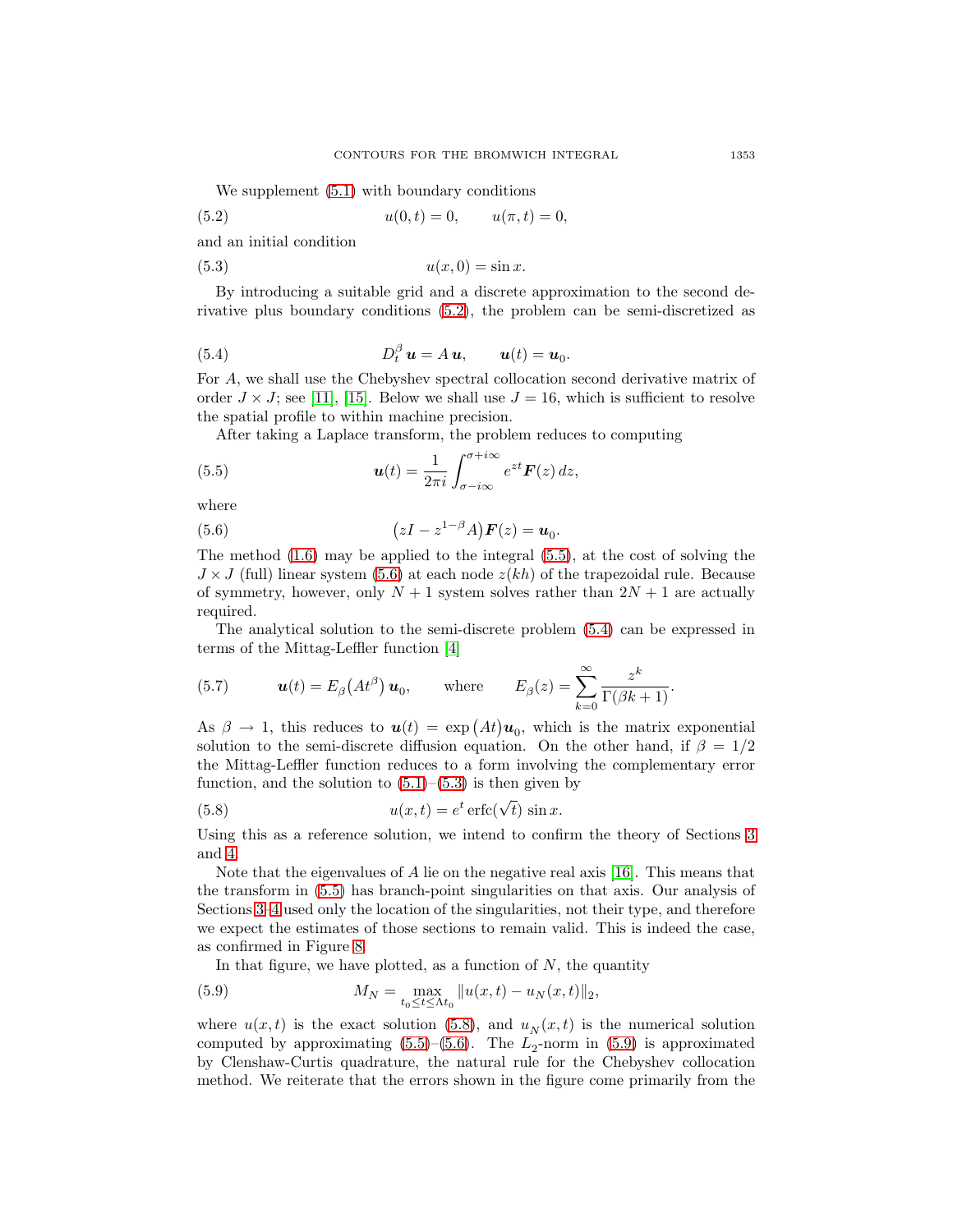<span id="page-12-0"></span>We supplement  $(5.1)$  with boundary conditions

(5.2) 
$$
u(0,t) = 0, \qquad u(\pi, t) = 0,
$$

<span id="page-12-4"></span>and an initial condition

$$
(5.3) \t\t u(x,0) = \sin x.
$$

By introducing a suitable grid and a discrete approximation to the second derivative plus boundary conditions [\(5.2\)](#page-12-0), the problem can be semi-discretized as

<span id="page-12-3"></span>(5.4) 
$$
D_t^{\beta} \mathbf{u} = A \mathbf{u}, \qquad \mathbf{u}(t) = \mathbf{u}_0.
$$

For A, we shall use the Chebyshev spectral collocation second derivative matrix of order  $J \times J$ ; see [\[11\]](#page-15-11), [\[15\]](#page-15-12). Below we shall use  $J = 16$ , which is sufficient to resolve the spatial profile to within machine precision.

<span id="page-12-1"></span>After taking a Laplace transform, the problem reduces to computing

(5.5) 
$$
\boldsymbol{u}(t) = \frac{1}{2\pi i} \int_{\sigma - i\infty}^{\sigma + i\infty} e^{zt} \boldsymbol{F}(z) dz,
$$

<span id="page-12-2"></span>where

(5.6) 
$$
(zI - z^{1-\beta}A)\boldsymbol{F}(z) = \boldsymbol{u}_0.
$$

The method  $(1.6)$  may be applied to the integral  $(5.5)$ , at the cost of solving the  $J \times J$  (full) linear system [\(5.6\)](#page-12-2) at each node  $z(kh)$  of the trapezoidal rule. Because of symmetry, however, only  $N + 1$  system solves rather than  $2N + 1$  are actually required.

The analytical solution to the semi-discrete problem [\(5.4\)](#page-12-3) can be expressed in terms of the Mittag-Leffler function [\[4\]](#page-15-10)

(5.7) 
$$
\boldsymbol{u}(t) = E_{\beta}\left(At^{\beta}\right)\boldsymbol{u}_0, \quad \text{where} \quad E_{\beta}(z) = \sum_{k=0}^{\infty} \frac{z^k}{\Gamma(\beta k + 1)}.
$$

As  $\beta \to 1$ , this reduces to  $u(t) = \exp (At)u_0$ , which is the matrix exponential solution to the semi-discrete diffusion equation. On the other hand, if  $\beta = 1/2$ the Mittag-Leffler function reduces to a form involving the complementary error function, and the solution to  $(5.1)$ – $(5.3)$  is then given by

<span id="page-12-5"></span>(5.8) 
$$
u(x,t) = e^t \operatorname{erfc}(\sqrt{t}) \sin x.
$$

Using this as a reference solution, we intend to confirm the theory of Sections [3](#page-3-0) and [4.](#page-7-0)

Note that the eigenvalues of A lie on the negative real axis [\[16\]](#page-15-13). This means that the transform in [\(5.5\)](#page-12-1) has branch-point singularities on that axis. Our analysis of Sections [3–](#page-3-0)[4](#page-7-0) used only the location of the singularities, not their type, and therefore we expect the estimates of those sections to remain valid. This is indeed the case, as confirmed in Figure [8.](#page-13-1)

<span id="page-12-6"></span>In that figure, we have plotted, as a function of  $N$ , the quantity

(5.9) 
$$
M_N = \max_{t_0 \le t \le \Lambda t_0} ||u(x, t) - u_N(x, t)||_2,
$$

where  $u(x, t)$  is the exact solution [\(5.8\)](#page-12-5), and  $u_N(x, t)$  is the numerical solution computed by approximating  $(5.5)$ – $(5.6)$ . The  $L_2$ -norm in  $(5.9)$  is approximated by Clenshaw-Curtis quadrature, the natural rule for the Chebyshev collocation method. We reiterate that the errors shown in the figure come primarily from the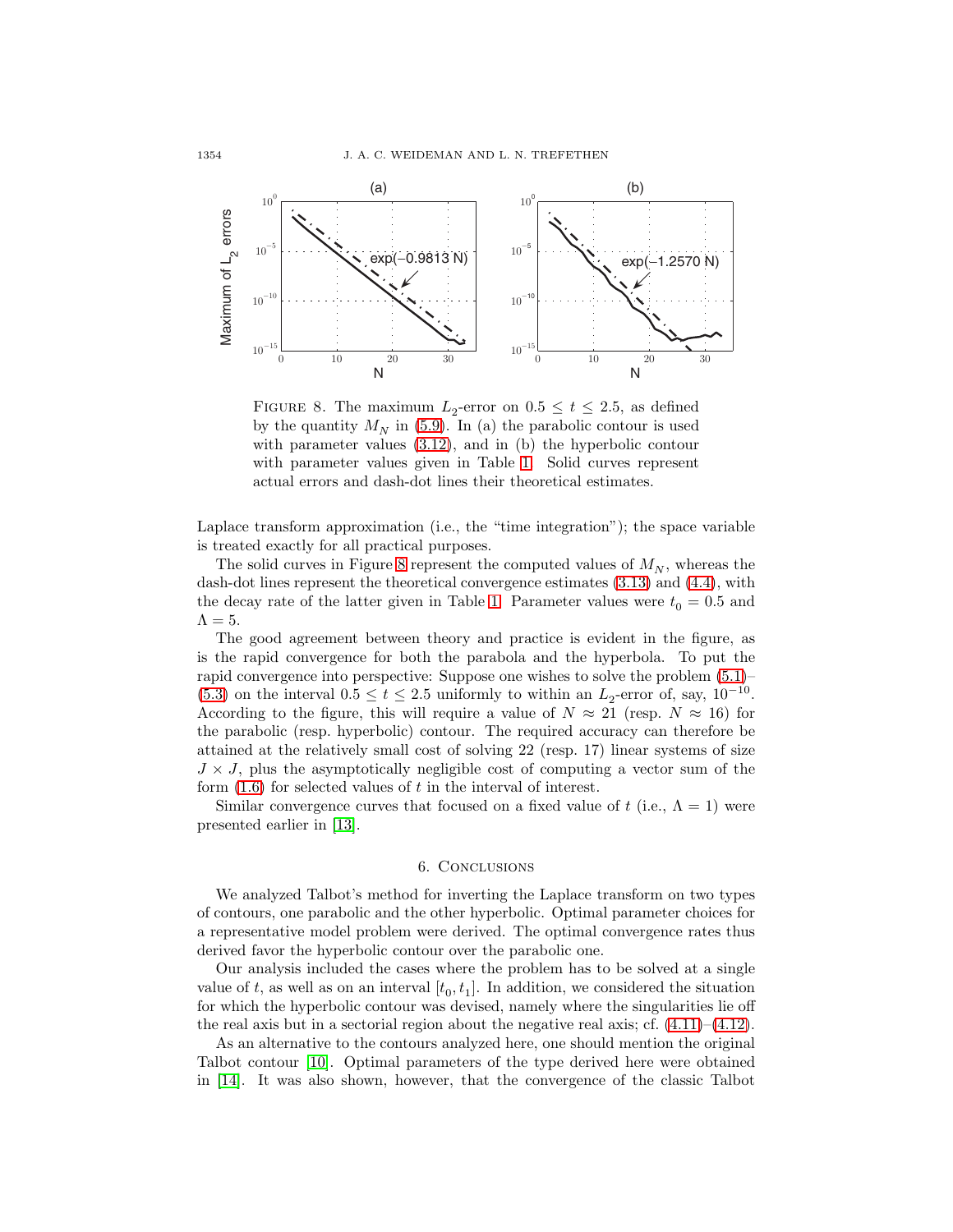

<span id="page-13-1"></span>FIGURE 8. The maximum  $L_2$ -error on  $0.5 \le t \le 2.5$ , as defined by the quantity  $M_N$  in [\(5.9\)](#page-12-6). In (a) the parabolic contour is used with parameter values [\(3.12\)](#page-6-2), and in (b) the hyperbolic contour with parameter values given in Table [1.](#page-10-0) Solid curves represent actual errors and dash-dot lines their theoretical estimates.

Laplace transform approximation (i.e., the "time integration"); the space variable is treated exactly for all practical purposes.

The solid curves in Figure [8](#page-13-1) represent the computed values of  $M_N$ , whereas the dash-dot lines represent the theoretical convergence estimates [\(3.13\)](#page-6-0) and [\(4.4\)](#page-8-3), with the decay rate of the latter given in Table [1.](#page-10-0) Parameter values were  $t_0 = 0.5$  and  $\Lambda = 5$ .

The good agreement between theory and practice is evident in the figure, as is the rapid convergence for both the parabola and the hyperbola. To put the rapid convergence into perspective: Suppose one wishes to solve the problem [\(5.1\)](#page-11-2)– [\(5.3\)](#page-12-4) on the interval  $0.5 \le t \le 2.5$  uniformly to within an  $L_2$ -error of, say,  $10^{-10}$ . According to the figure, this will require a value of  $N \approx 21$  (resp.  $N \approx 16$ ) for the parabolic (resp. hyperbolic) contour. The required accuracy can therefore be attained at the relatively small cost of solving 22 (resp. 17) linear systems of size  $J \times J$ , plus the asymptotically negligible cost of computing a vector sum of the form  $(1.6)$  for selected values of t in the interval of interest.

Similar convergence curves that focused on a fixed value of t (i.e.,  $\Lambda = 1$ ) were presented earlier in [\[13\]](#page-15-14).

#### 6. Conclusions

<span id="page-13-0"></span>We analyzed Talbot's method for inverting the Laplace transform on two types of contours, one parabolic and the other hyperbolic. Optimal parameter choices for a representative model problem were derived. The optimal convergence rates thus derived favor the hyperbolic contour over the parabolic one.

Our analysis included the cases where the problem has to be solved at a single value of t, as well as on an interval  $[t_0, t_1]$ . In addition, we considered the situation for which the hyperbolic contour was devised, namely where the singularities lie off the real axis but in a sectorial region about the negative real axis; cf.  $(4.11)$ – $(4.12)$ .

As an alternative to the contours analyzed here, one should mention the original Talbot contour [\[10\]](#page-15-0). Optimal parameters of the type derived here were obtained in [\[14\]](#page-15-3). It was also shown, however, that the convergence of the classic Talbot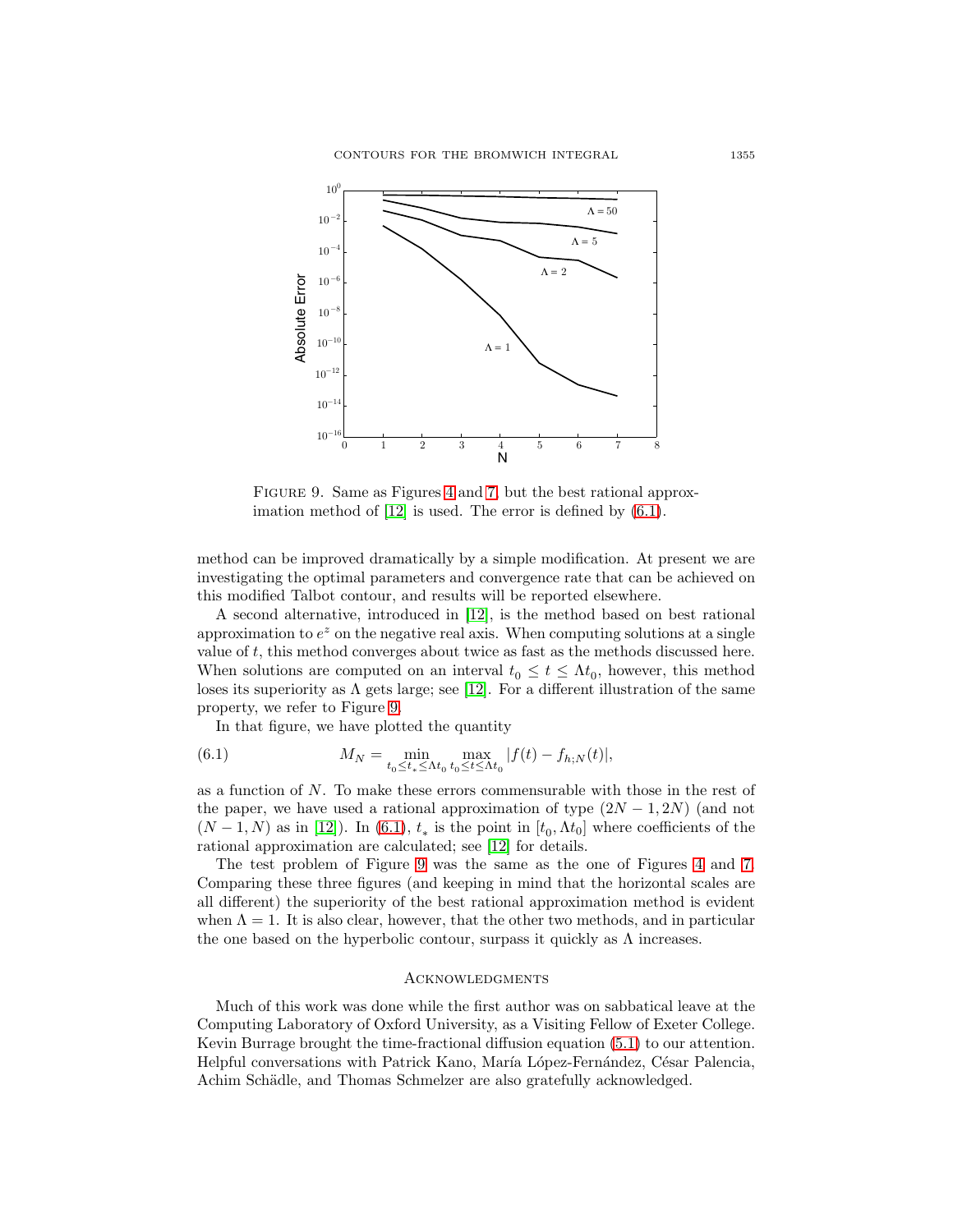

<span id="page-14-1"></span>FIGURE 9. Same as Figures [4](#page-7-1) and [7,](#page-10-1) but the best rational approx-imation method of [\[12\]](#page-15-15) is used. The error is defined by  $(6.1)$ .

method can be improved dramatically by a simple modification. At present we are investigating the optimal parameters and convergence rate that can be achieved on this modified Talbot contour, and results will be reported elsewhere.

A second alternative, introduced in [\[12\]](#page-15-15), is the method based on best rational approximation to  $e^z$  on the negative real axis. When computing solutions at a single value of t, this method converges about twice as fast as the methods discussed here. When solutions are computed on an interval  $t_0 \leq t \leq \Lambda t_0$ , however, this method loses its superiority as  $\Lambda$  gets large; see [\[12\]](#page-15-15). For a different illustration of the same property, we refer to Figure [9.](#page-14-1)

<span id="page-14-0"></span>In that figure, we have plotted the quantity

(6.1) 
$$
M_N = \min_{t_0 \le t_* \le \Lambda t_0} \max_{t_0 \le t \le \Lambda t_0} |f(t) - f_{h;N}(t)|,
$$

as a function of N. To make these errors commensurable with those in the rest of the paper, we have used a rational approximation of type  $(2N-1, 2N)$  (and not  $(N-1, N)$  as in [\[12\]](#page-15-15)). In [\(6.1\)](#page-14-0),  $t_*$  is the point in [ $t_0, \Lambda t_0$ ] where coefficients of the rational approximation are calculated; see [\[12\]](#page-15-15) for details.

The test problem of Figure [9](#page-14-1) was the same as the one of Figures [4](#page-7-1) and [7.](#page-10-1) Comparing these three figures (and keeping in mind that the horizontal scales are all different) the superiority of the best rational approximation method is evident when  $\Lambda = 1$ . It is also clear, however, that the other two methods, and in particular the one based on the hyperbolic contour, surpass it quickly as  $\Lambda$  increases.

## **ACKNOWLEDGMENTS**

Much of this work was done while the first author was on sabbatical leave at the Computing Laboratory of Oxford University, as a Visiting Fellow of Exeter College. Kevin Burrage brought the time-fractional diffusion equation [\(5.1\)](#page-11-2) to our attention. Helpful conversations with Patrick Kano, María López-Fernández, César Palencia, Achim Schädle, and Thomas Schmelzer are also gratefully acknowledged.